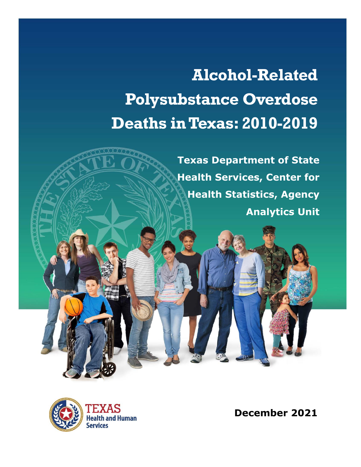# **Alcohol-Related Polysubstance Overdose Deaths in Texas: 2010-2019**

**Texas Department of State Health Services, Center for Health Statistics, Agency Analytics Unit**



**December 2021**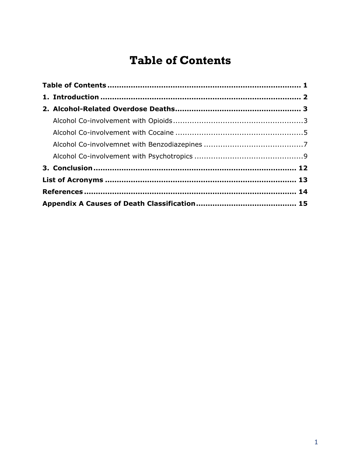# **Table of Contents**

<span id="page-1-0"></span>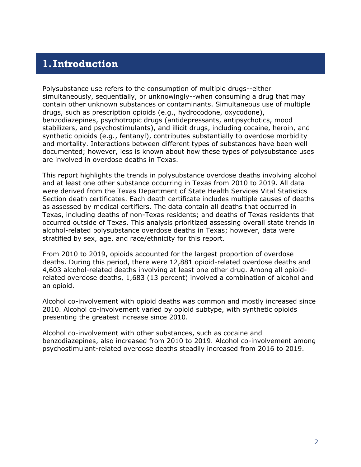## <span id="page-2-0"></span>**1.Introduction**

Polysubstance use refers to the consumption of multiple drugs--either simultaneously, sequentially, or unknowingly--when consuming a drug that may contain other unknown substances or contaminants. Simultaneous use of multiple drugs, such as prescription opioids (e.g., hydrocodone, oxycodone), benzodiazepines, psychotropic drugs (antidepressants, antipsychotics, mood stabilizers, and psychostimulants), and illicit drugs, including cocaine, heroin, and synthetic opioids (e.g., fentanyl), contributes substantially to overdose morbidity and mortality. Interactions between different types of substances have been well documented; however, less is known about how these types of polysubstance uses are involved in overdose deaths in Texas.

This report highlights the trends in polysubstance overdose deaths involving alcohol and at least one other substance occurring in Texas from 2010 to 2019. All data were derived from the Texas Department of State Health Services Vital Statistics Section death certificates. Each death certificate includes multiple causes of deaths as assessed by medical certifiers. The data contain all deaths that occurred in Texas, including deaths of non-Texas residents; and deaths of Texas residents that occurred outside of Texas. This analysis prioritized assessing overall state trends in alcohol-related polysubstance overdose deaths in Texas; however, data were stratified by sex, age, and race/ethnicity for this report.

From 2010 to 2019, opioids accounted for the largest proportion of overdose deaths. During this period, there were 12,881 opioid-related overdose deaths and 4,603 alcohol-related deaths involving at least one other drug. Among all opioidrelated overdose deaths, 1,683 (13 percent) involved a combination of alcohol and an opioid.

Alcohol co-involvement with opioid deaths was common and mostly increased since 2010. Alcohol co-involvement varied by opioid subtype, with synthetic opioids presenting the greatest increase since 2010.

Alcohol co-involvement with other substances, such as cocaine and benzodiazepines, also increased from 2010 to 2019. Alcohol co-involvement among psychostimulant-related overdose deaths steadily increased from 2016 to 2019.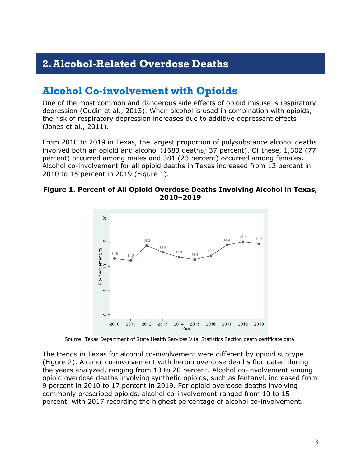## **2.Alcohol-Related Overdose Deaths**

## **Alcohol Co-involvement with Opioids**

One of the most common and dangerous side effects of opioid misuse is respiratory depression (Gudin et al., 2013). When alcohol is used in combination with opioids, the risk of respiratory depression increases due to additive depressant effects (Jones et al., 2011).

From 2010 to 2019 in Texas, the largest proportion of polysubstance alcohol deaths involved both an opioid and alcohol (1683 deaths; 37 percent). Of these, 1,302 (77 percent) occurred among males and 381 (23 percent) occurred among females. Alcohol co-involvement for all opioid deaths in Texas increased from 12 percent in 2010 to 15 percent in 2019 (Figure 1).

#### **Figure 1. Percent of All Opioid Overdose Deaths Involving Alcohol in Texas, 2010–2019**



Source: Texas Department of State Health Services Vital Statistics Section death certificate data.

The trends in Texas for alcohol co-involvement were different by opioid subtype (Figure 2). Alcohol co-involvement with heroin overdose deaths fluctuated during the years analyzed, ranging from 13 to 20 percent. Alcohol co-involvement among opioid overdose deaths involving synthetic opioids, such as fentanyl, increased from 9 percent in 2010 to 17 percent in 2019. For opioid overdose deaths involving commonly prescribed opioids, alcohol co-involvement ranged from 10 to 15 percent, with 2017 recording the highest percentage of alcohol co-involvement.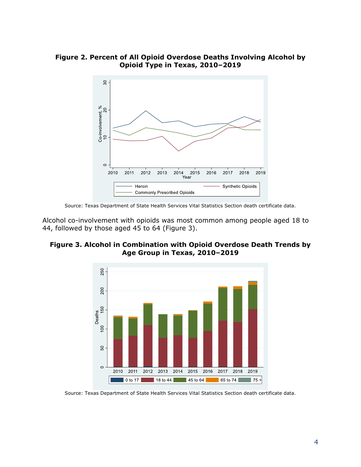**Figure 2. Percent of All Opioid Overdose Deaths Involving Alcohol by Opioid Type in Texas, 2010–2019**



Source: Texas Department of State Health Services Vital Statistics Section death certificate data.

Alcohol co-involvement with opioids was most common among people aged 18 to 44, followed by those aged 45 to 64 (Figure 3).





Source: Texas Department of State Health Services Vital Statistics Section death certificate data.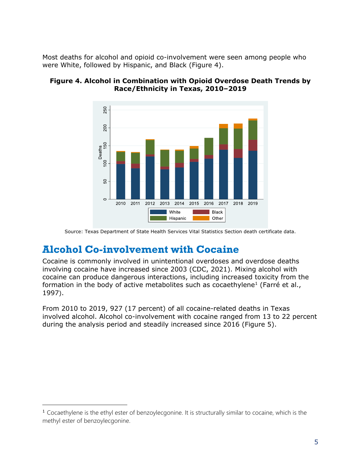Most deaths for alcohol and opioid co-involvement were seen among people who were White, followed by Hispanic, and Black (Figure 4).

#### **Figure 4. Alcohol in Combination with Opioid Overdose Death Trends by Race/Ethnicity in Texas, 2010–2019**



Source: Texas Department of State Health Services Vital Statistics Section death certificate data.

## **Alcohol Co-involvement with Cocaine**

Cocaine is commonly involved in unintentional overdoses and overdose deaths involving cocaine have increased since 2003 (CDC, 2021). Mixing alcohol with cocaine can produce dangerous interactions, including increased toxicity from the formation in the body of active metabolites such as cocaethylene<sup>1</sup> (Farré et al., 1997).

From 2010 to 2019, 927 (17 percent) of all cocaine-related deaths in Texas involved alcohol. Alcohol co-involvement with cocaine ranged from 13 to 22 percent during the analysis period and steadily increased since 2016 (Figure 5).

<sup>1</sup> Cocaethylene is the ethyl ester of benzoylecgonine. It is structurally similar to cocaine, which is the methyl ester of benzoylecgonine.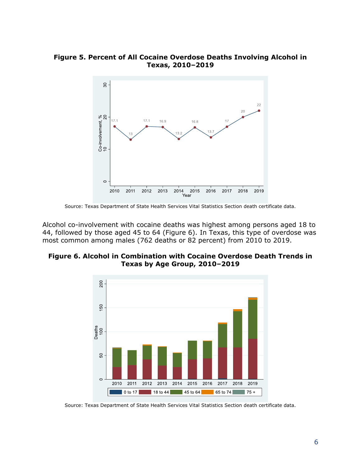#### **Figure 5. Percent of All Cocaine Overdose Deaths Involving Alcohol in Texas, 2010–2019**



Source: Texas Department of State Health Services Vital Statistics Section death certificate data.

Alcohol co-involvement with cocaine deaths was highest among persons aged 18 to 44, followed by those aged 45 to 64 (Figure 6). In Texas, this type of overdose was most common among males (762 deaths or 82 percent) from 2010 to 2019.

#### **Figure 6. Alcohol in Combination with Cocaine Overdose Death Trends in Texas by Age Group, 2010–2019**



Source: Texas Department of State Health Services Vital Statistics Section death certificate data.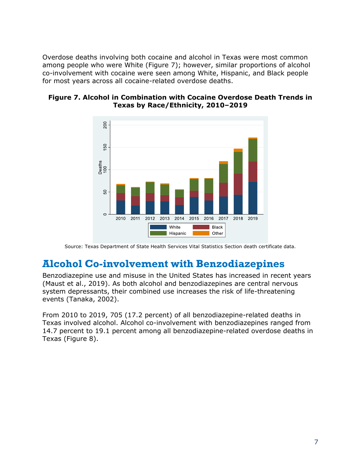Overdose deaths involving both cocaine and alcohol in Texas were most common among people who were White (Figure 7); however, similar proportions of alcohol co-involvement with cocaine were seen among White, Hispanic, and Black people for most years across all cocaine-related overdose deaths.





Source: Texas Department of State Health Services Vital Statistics Section death certificate data.

### **Alcohol Co-involvement with Benzodiazepines**

Benzodiazepine use and misuse in the United States has increased in recent years (Maust et al., 2019). As both alcohol and benzodiazepines are central nervous system depressants, their combined use increases the risk of life-threatening events (Tanaka, 2002).

From 2010 to 2019, 705 (17.2 percent) of all benzodiazepine-related deaths in Texas involved alcohol. Alcohol co-involvement with benzodiazepines ranged from 14.7 percent to 19.1 percent among all benzodiazepine-related overdose deaths in Texas (Figure 8).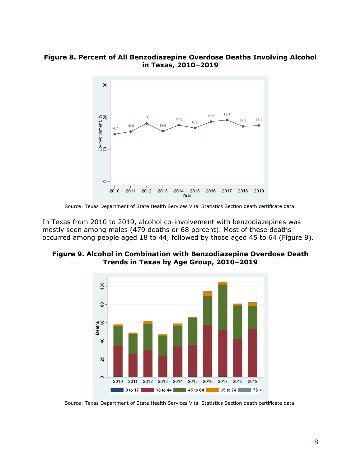#### **Figure 8. Percent of All Benzodiazepine Overdose Deaths Involving Alcohol in Texas, 2010–2019**



Source: Texas Department of State Health Services Vital Statistics Section death certificate data.

In Texas from 2010 to 2019, alcohol co-involvement with benzodiazepines was mostly seen among males (479 deaths or 68 percent). Most of these deaths occurred among people aged 18 to 44, followed by those aged 45 to 64 (Figure 9).

#### **Figure 9. Alcohol in Combination with Benzodiazepine Overdose Death Trends in Texas by Age Group, 2010–2019**



Source: Texas Department of State Health Services Vital Statistics Section death certificate data.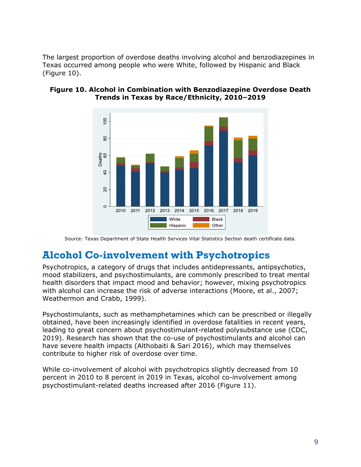The largest proportion of overdose deaths involving alcohol and benzodiazepines in Texas occurred among people who were White, followed by Hispanic and Black (Figure 10).



#### **Figure 10. Alcohol in Combination with Benzodiazepine Overdose Death Trends in Texas by Race/Ethnicity, 2010–2019**

Source: Texas Department of State Health Services Vital Statistics Section death certificate data.

## **Alcohol Co-involvement with Psychotropics**

Psychotropics, a category of drugs that includes antidepressants, antipsychotics, mood stabilizers, and psychostimulants, are commonly prescribed to treat mental health disorders that impact mood and behavior; however, mixing psychotropics with alcohol can increase the risk of adverse interactions (Moore, et al., 2007; Weathermon and Crabb, 1999).

Psychostimulants, such as methamphetamines which can be prescribed or illegally obtained, have been increasingly identified in overdose fatalities in recent years, leading to great concern about psychostimulant-related polysubstance use (CDC, 2019). Research has shown that the co-use of psychostimulants and alcohol can have severe health impacts (Althobaiti & Sari 2016), which may themselves contribute to higher risk of overdose over time.

While co-involvement of alcohol with psychotropics slightly decreased from 10 percent in 2010 to 8 percent in 2019 in Texas, alcohol co-involvement among psychostimulant-related deaths increased after 2016 (Figure 11).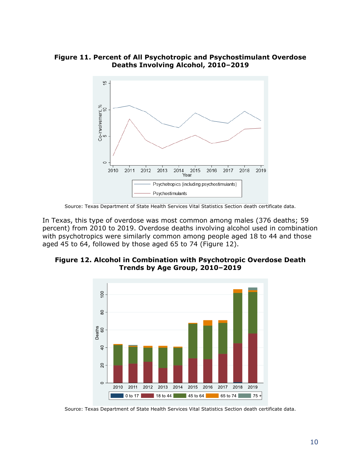**Figure 11. Percent of All Psychotropic and Psychostimulant Overdose Deaths Involving Alcohol, 2010–2019**



Source: Texas Department of State Health Services Vital Statistics Section death certificate data.

In Texas, this type of overdose was most common among males (376 deaths; 59 percent) from 2010 to 2019. Overdose deaths involving alcohol used in combination with psychotropics were similarly common among people aged 18 to 44 and those aged 45 to 64, followed by those aged 65 to 74 (Figure 12).

#### **Figure 12. Alcohol in Combination with Psychotropic Overdose Death Trends by Age Group, 2010–2019**



Source: Texas Department of State Health Services Vital Statistics Section death certificate data.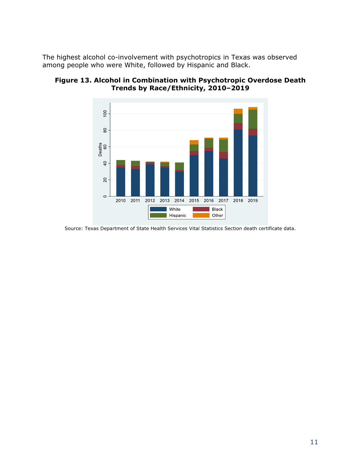The highest alcohol co-involvement with psychotropics in Texas was observed among people who were White, followed by Hispanic and Black.



**Figure 13. Alcohol in Combination with Psychotropic Overdose Death Trends by Race/Ethnicity, 2010–2019**

Source: Texas Department of State Health Services Vital Statistics Section death certificate data.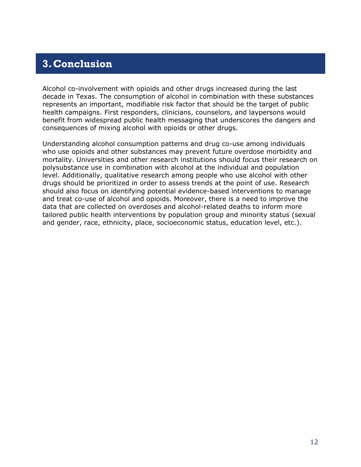## **3.Conclusion**

<span id="page-12-0"></span>Alcohol co-involvement with opioids and other drugs increased during the last decade in Texas. The consumption of alcohol in combination with these substances represents an important, modifiable risk factor that should be the target of public health campaigns. First responders, clinicians, counselors, and laypersons would benefit from widespread public health messaging that underscores the dangers and consequences of mixing alcohol with opioids or other drugs.

<span id="page-12-1"></span>Understanding alcohol consumption patterns and drug co-use among individuals who use opioids and other substances may prevent future overdose morbidity and mortality. Universities and other research institutions should focus their research on polysubstance use in combination with alcohol at the individual and population level. Additionally, qualitative research among people who use alcohol with other drugs should be prioritized in order to assess trends at the point of use. Research should also focus on identifying potential evidence-based interventions to manage and treat co-use of alcohol and opioids. Moreover, there is a need to improve the data that are collected on overdoses and alcohol-related deaths to inform more tailored public health interventions by population group and minority status (sexual and gender, race, ethnicity, place, socioeconomic status, education level, etc.).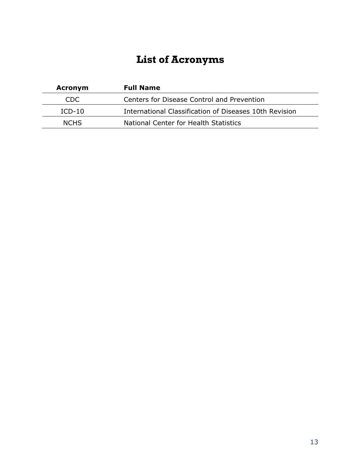## **List of Acronyms**

| <b>Acronym</b> | <b>Full Name</b>                                       |
|----------------|--------------------------------------------------------|
| CDC.           | Centers for Disease Control and Prevention             |
| $ICD-10$       | International Classification of Diseases 10th Revision |
| <b>NCHS</b>    | National Center for Health Statistics                  |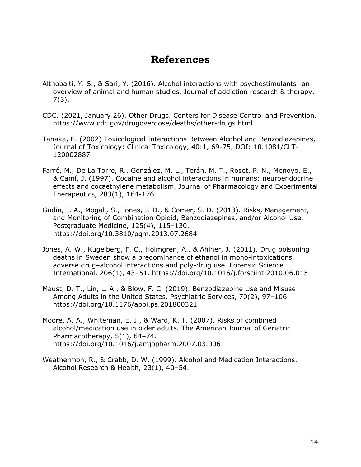## **References**

- Althobaiti, Y. S., & Sari, Y. (2016). Alcohol interactions with psychostimulants: an overview of animal and human studies. Journal of addiction research & therapy, 7(3).
- CDC. (2021, January 26). Other Drugs. Centers for Disease Control and Prevention. https://www.cdc.gov/drugoverdose/deaths/other-drugs.html
- Tanaka, E. (2002) Toxicological Interactions Between Alcohol and Benzodiazepines, Journal of Toxicology: Clinical Toxicology, 40:1, 69-75, DOI: 10.1081/CLT-120002887
- Farré, M., De La Torre, R., González, M. L., Terán, M. T., Roset, P. N., Menoyo, E., & Camí, J. (1997). Cocaine and alcohol interactions in humans: neuroendocrine effects and cocaethylene metabolism. Journal of Pharmacology and Experimental Therapeutics, 283(1), 164-176.
- Gudin, J. A., Mogali, S., Jones, J. D., & Comer, S. D. (2013). Risks, Management, and Monitoring of Combination Opioid, Benzodiazepines, and/or Alcohol Use. Postgraduate Medicine, 125(4), 115–130. https://doi.org/10.3810/pgm.2013.07.2684
- Jones, A. W., Kugelberg, F. C., Holmgren, A., & Ahlner, J. (2011). Drug poisoning deaths in Sweden show a predominance of ethanol in mono-intoxications, adverse drug–alcohol interactions and poly-drug use. Forensic Science International, 206(1), 43–51. https://doi.org/10.1016/j.forsciint.2010.06.015
- Maust, D. T., Lin, L. A., & Blow, F. C. (2019). Benzodiazepine Use and Misuse Among Adults in the United States. Psychiatric Services, 70(2), 97–106. https://doi.org/10.1176/appi.ps.201800321
- Moore, A. A., Whiteman, E. J., & Ward, K. T. (2007). Risks of combined alcohol/medication use in older adults. The American Journal of Geriatric Pharmacotherapy, 5(1), 64-74. https://doi.org/10.1016/j.amjopharm.2007.03.006
- Weathermon, R., & Crabb, D. W. (1999). Alcohol and Medication Interactions. Alcohol Research & Health, 23(1), 40–54.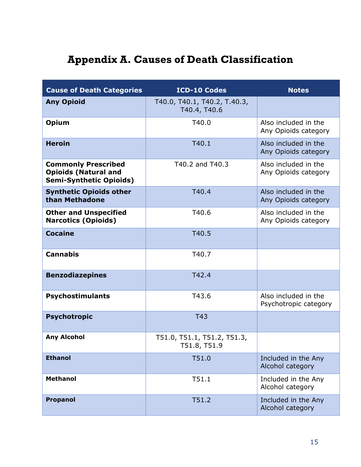# **Appendix A. Causes of Death Classification**

| <b>Cause of Death Categories</b>                                                            | <b>ICD-10 Codes</b>                          | <b>Notes</b>                                  |
|---------------------------------------------------------------------------------------------|----------------------------------------------|-----------------------------------------------|
| <b>Any Opioid</b>                                                                           | T40.0, T40.1, T40.2, T.40.3,<br>T40.4, T40.6 |                                               |
| <b>Opium</b>                                                                                | T40.0                                        | Also included in the<br>Any Opioids category  |
| <b>Heroin</b>                                                                               | T40.1                                        | Also included in the<br>Any Opioids category  |
| <b>Commonly Prescribed</b><br><b>Opioids (Natural and</b><br><b>Semi-Synthetic Opioids)</b> | T40.2 and T40.3                              | Also included in the<br>Any Opioids category  |
| <b>Synthetic Opioids other</b><br>than Methadone                                            | T40.4                                        | Also included in the<br>Any Opioids category  |
| <b>Other and Unspecified</b><br><b>Narcotics (Opioids)</b>                                  | T40.6                                        | Also included in the<br>Any Opioids category  |
| <b>Cocaine</b>                                                                              | T40.5                                        |                                               |
| <b>Cannabis</b>                                                                             | T40.7                                        |                                               |
| <b>Benzodiazepines</b>                                                                      | T42.4                                        |                                               |
| <b>Psychostimulants</b>                                                                     | T43.6                                        | Also included in the<br>Psychotropic category |
| <b>Psychotropic</b>                                                                         | <b>T43</b>                                   |                                               |
| <b>Any Alcohol</b>                                                                          | T51.0, T51.1, T51.2, T51.3,<br>T51.8, T51.9  |                                               |
| <b>Ethanol</b>                                                                              | T51.0                                        | Included in the Any<br>Alcohol category       |
| <b>Methanol</b>                                                                             | T51.1                                        | Included in the Any<br>Alcohol category       |
| Propanol                                                                                    | T51.2                                        | Included in the Any<br>Alcohol category       |